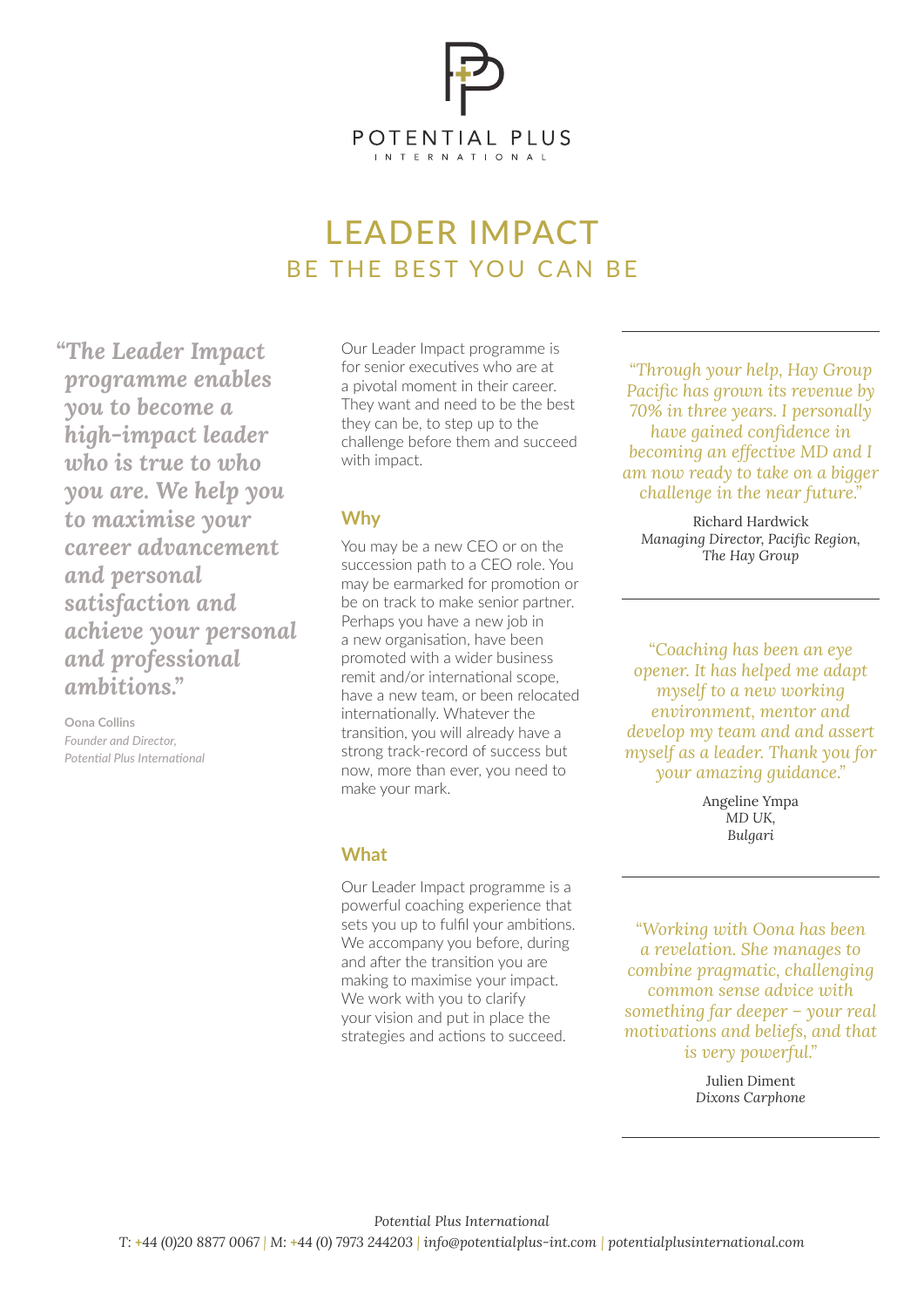

# LEADER IMPACT BE THE BEST YOU CAN BE

*"The Leader Impact programme enables you to become a high-impact leader who is true to who you are. We help you to maximise your career advancement and personal satisfaction and achieve your personal and professional ambitions."*

**Oona Collins** *Founder and Director, Potential Plus International* Our Leader Impact programme is for senior executives who are at a pivotal moment in their career. They want and need to be the best they can be, to step up to the challenge before them and succeed with impact.

## **Why**

You may be a new CEO or on the succession path to a CEO role. You may be earmarked for promotion or be on track to make senior partner. Perhaps you have a new job in a new organisation, have been promoted with a wider business remit and/or international scope, have a new team, or been relocated internationally. Whatever the transition, you will already have a strong track-record of success but now, more than ever, you need to make your mark.

### **What**

Our Leader Impact programme is a powerful coaching experience that sets you up to fulfil your ambitions. We accompany you before, during and after the transition you are making to maximise your impact. We work with you to clarify your vision and put in place the strategies and actions to succeed.

*"Through your help, Hay Group Pacific has grown its revenue by 70% in three years. I personally have gained confidence in becoming an effective MD and I am now ready to take on a bigger challenge in the near future."*

Richard Hardwick *Managing Director, Pacific Region, The Hay Group*

*"Coaching has been an eye opener. It has helped me adapt myself to a new working environment, mentor and develop my team and and assert myself as a leader. Thank you for your amazing guidance."*

> Angeline Ympa *MD UK, Bulgari*

*"Working with Oona has been a revelation. She manages to combine pragmatic, challenging common sense advice with something far deeper – your real motivations and beliefs, and that is very powerful."*

> Julien Diment *Dixons Carphone*